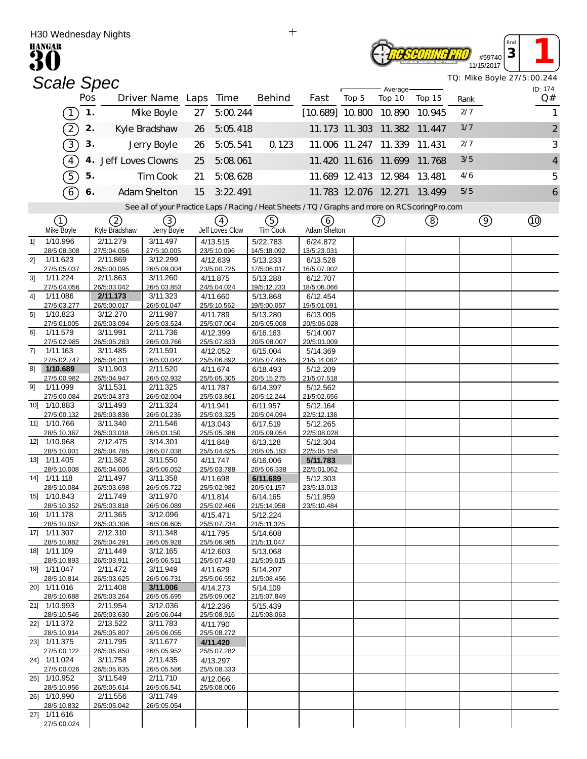|                | H30 weanesday Nights<br><b>HANGAR</b> |     |                         |                         |    |                         |                                                                                                   |                          |       |                      |        |      |                      | Rnd |                                       |
|----------------|---------------------------------------|-----|-------------------------|-------------------------|----|-------------------------|---------------------------------------------------------------------------------------------------|--------------------------|-------|----------------------|--------|------|----------------------|-----|---------------------------------------|
|                |                                       |     |                         |                         |    |                         |                                                                                                   |                          |       |                      |        |      | #59740<br>11/15/2017 | 3   |                                       |
|                | <b>Scale Spec</b>                     |     |                         |                         |    |                         |                                                                                                   |                          |       |                      |        |      |                      |     | TQ: Mike Boyle 27/5:00.244<br>ID: 174 |
|                |                                       | Pos |                         | Driver Name Laps        |    | Time                    | Behind                                                                                            | Fast                     | Top 5 | Average<br>Top 10    | Top 15 | Rank |                      |     | Q#                                    |
|                | $\overline{1}$                        | 1.  |                         | Mke Boyle               | 27 | 5:00.244                |                                                                                                   | $[10.689]$ 10.800 10.890 |       |                      | 10.945 | 2/7  |                      |     | 1                                     |
|                | $\left( 2\right)$                     | 2.  |                         | Kyle Bradshaw           | 26 | 5:05.418                |                                                                                                   |                          |       | 11.173 11.303 11.382 | 11.447 | 1/7  |                      |     | $\overline{c}$                        |
|                | 3                                     | 3.  |                         | Jerry Boyle             | 26 | 5:05.541                | 0.123                                                                                             | 11.006 11.247            |       | 11.339               | 11.431 | 2/7  |                      |     | 3                                     |
|                | $\boxed{4}$                           |     | 4. Jeff Loves Clowns    |                         | 25 | 5:08.061                |                                                                                                   |                          |       | 11.420 11.616 11.699 | 11.768 | 3/5  |                      |     | 4                                     |
|                | $\boxed{5}$                           | 5.  |                         | Tim Cook                | 21 | 5:08.628                |                                                                                                   |                          |       | 11.689 12.413 12.984 | 13.481 | 4/6  |                      |     | 5                                     |
|                | $6\overline{6}$                       | 6.  |                         | Adam Shelton            | 15 | 3:22.491                |                                                                                                   |                          |       | 11.783 12.076 12.271 | 13.499 | 5/5  |                      |     | 6                                     |
|                |                                       |     |                         |                         |    |                         | See all of your Practice Laps / Racing / Heat Sheets / TQ / Graphs and more on RCS coring Pro.com |                          |       |                      |        |      |                      |     |                                       |
|                | ①                                     |     | ②                       | 3)                      |    | (4)                     | (5)                                                                                               | 6                        |       | (7)                  | ②      |      | $\circledcirc$       |     | Q)                                    |
|                | Mke Boyle                             |     | Kyle Bradshaw           | Jerry Boyle             |    | Jeff Loves Clow         | <b>TimCook</b>                                                                                    | Adam Shelton             |       |                      |        |      |                      |     |                                       |
| 11             | 1/10.996<br>28/5:08.308               |     | 2/11.279<br>27/5:04.056 | 3/11.497<br>27/5:10.005 |    | 4/13.515<br>23/5:10.096 | 5/22.783<br>14/5:18.092                                                                           | 6/24.872<br>13/5:23.031  |       |                      |        |      |                      |     |                                       |
| 2]             | 1/11.623                              |     | 2/11.869                | 3/12.299                |    | 4/12.639                | 5/13.233                                                                                          | 6/13.528                 |       |                      |        |      |                      |     |                                       |
|                | 27/5:05.037                           |     | 26/5:00.095             | 26/5:09.004             |    | 23/5:00.725             | 17/5:06.017                                                                                       | 16/5:07.002              |       |                      |        |      |                      |     |                                       |
| 3 <sup>1</sup> | 1/11.224<br>27/5:04.056               |     | 2/11.863<br>26/5:03.042 | 3/11.260<br>26/5:03.853 |    | 4/11.875<br>24/5:04.024 | 5/13.288<br>19/5:12.233                                                                           | 6/12.707<br>18/5:06.066  |       |                      |        |      |                      |     |                                       |
| 41             | 1/11.086                              |     | 2/11.173                | 3/11.323                |    | 4/11.660                | 5/13.868                                                                                          | 6/12.454                 |       |                      |        |      |                      |     |                                       |
|                | 27/5:03.277                           |     | 26/5:00.017             | 26/5:01.047             |    | 25/5:10.562             | 19/5:00.057                                                                                       | 19/5:01.091              |       |                      |        |      |                      |     |                                       |
| 5 <sup>1</sup> | 1/10.823<br>27/5:01.005               |     | 3/12.270<br>26/5:03.094 | 2/11.987<br>26/5:03.524 |    | 4/11.789<br>25/5:07.004 | 5/13.280<br>20/5:05.008                                                                           | 6/13.005<br>20/5:06.028  |       |                      |        |      |                      |     |                                       |
| 61             | 1/11.579                              |     | 3/11.991                | 2/11.736                |    | 4/12.399                | 6/16.163                                                                                          | 5/14.007                 |       |                      |        |      |                      |     |                                       |
| 7]             | 27/5:02.985<br>1/11.163               |     | 26/5:05.283<br>3/11.485 | 26/5:03.766<br>2/11.591 |    | 25/5:07.833<br>4/12.052 | 20/5:08.007<br>6/15.004                                                                           | 20/5:01.009<br>5/14.369  |       |                      |        |      |                      |     |                                       |
|                | 27/5:02.747                           |     | 26/5:04.311             | 26/5:03.042             |    | 25/5:06.892             | 20/5:07.485                                                                                       | 21/5:14.082              |       |                      |        |      |                      |     |                                       |
| 81             | 1/10.689                              |     | 3/11.903                | 2/11.520                |    | 4/11.674                | 6/18.493                                                                                          | 5/12.209                 |       |                      |        |      |                      |     |                                       |
| 91             | 27/5:00.982<br>1/11.099               |     | 26/5:04.947<br>3/11.531 | 26/5:02.932<br>2/11.325 |    | 25/5:05.305<br>4/11.787 | 20/5:15.275<br>6/14.397                                                                           | 21/5:07.518<br>5/12.562  |       |                      |        |      |                      |     |                                       |
|                | 27/5:00.084                           |     | 26/5:04.373             | 26/5:02.004             |    | 25/5:03.861             | 20/5:12.244                                                                                       | 21/5:02.656              |       |                      |        |      |                      |     |                                       |
| 10]            | 1/10.883<br>27/5:00.132               |     | 3/11.493<br>26/5:03.836 | 2/11.324<br>26/5:01.236 |    | 4/11.941<br>25/5:03.325 | 6/11.957<br>20/5:04.094                                                                           | 5/12.164<br>22/5:12.136  |       |                      |        |      |                      |     |                                       |
|                | 11] 1/10.766                          |     | 3/11.340                | 2/11.546                |    | 4/13.043                | 6/17.519                                                                                          | 5/12.265                 |       |                      |        |      |                      |     |                                       |
|                | 28/5:10.367                           |     | 26/5:03.018             | 26/5:01.150             |    | 25/5:05.386             | 20/5:09.054                                                                                       | 22/5:08.028              |       |                      |        |      |                      |     |                                       |
|                | 12] 1/10.968<br>28/5:10.001           |     | 2/12.475<br>26/5:04.785 | 3/14.301<br>26/5:07.038 |    | 4/11.848<br>25/5:04.625 | 6/13.128<br>20/5:05.183                                                                           | 5/12.304<br>22/5:05.158  |       |                      |        |      |                      |     |                                       |
|                | 13] 1/11.405                          |     | 2/11.362                | 3/11.550                |    | 4/11.747                | 6/16.006                                                                                          | 5/11.783                 |       |                      |        |      |                      |     |                                       |
|                | 28/5:10.008                           |     | 26/5:04.006             | 26/5:06.052             |    | 25/5:03.788             | 20/5:06.338                                                                                       | 22/5:01.062              |       |                      |        |      |                      |     |                                       |
|                | 14] 1/11.118<br>28/5:10.084           |     | 2/11.497<br>26/5:03.698 | 3/11.358<br>26/5:05.722 |    | 4/11.698<br>25/5:02.982 | 6/11.689<br>20/5:01.157                                                                           | 5/12.303<br>23/5:13.013  |       |                      |        |      |                      |     |                                       |
|                | 15] 1/10.843                          |     | 2/11.749                | 3/11.970                |    | 4/11.814                | 6/14.165                                                                                          | 5/11.959                 |       |                      |        |      |                      |     |                                       |
|                | 28/5:10.352<br>16] 1/11.178           |     | 26/5:03.818<br>2/11.365 | 26/5:06.089<br>3/12.096 |    | 25/5:02.466<br>4/15.471 | 21/5:14.958<br>5/12.224                                                                           | 23/5:10.484              |       |                      |        |      |                      |     |                                       |
|                | 28/5:10.052                           |     | 26/5:03.306             | 26/5:06.605             |    | 25/5:07.734             | 21/5:11.325                                                                                       |                          |       |                      |        |      |                      |     |                                       |
|                | 17] 1/11.307                          |     | 2/12.310                | 3/11.348                |    | 4/11.795                | 5/14.608                                                                                          |                          |       |                      |        |      |                      |     |                                       |
|                | 28/5:10.882<br>18] 1/11.109           |     | 26/5:04.291<br>2/11.449 | 26/5:05.928<br>3/12.165 |    | 25/5:06.985<br>4/12.603 | 21/5:11.047<br>5/13.068                                                                           |                          |       |                      |        |      |                      |     |                                       |
|                | 28/5:10.893                           |     | 26/5:03.911             | 26/5:06.511             |    | 25/5:07.430             | 21/5:09.015                                                                                       |                          |       |                      |        |      |                      |     |                                       |
|                | 19] 1/11.047<br>28/5:10.814           |     | 2/11.472<br>26/5:03.625 | 3/11.949<br>26/5:06.731 |    | 4/11.629<br>25/5:06.552 | 5/14.207<br>21/5:08.456                                                                           |                          |       |                      |        |      |                      |     |                                       |
|                | 20] 1/11.016                          |     | 2/11.408                | 3/11.006                |    | 4/14.273                | 5/14.109                                                                                          |                          |       |                      |        |      |                      |     |                                       |
|                | 28/5:10.688<br>21] 1/10.993           |     | 26/5:03.264<br>2/11.954 | 26/5:05.695<br>3/12.036 |    | 25/5:09.062             | 21/5:07.849                                                                                       |                          |       |                      |        |      |                      |     |                                       |
|                | 28/5:10.546                           |     | 26/5:03.630             | 26/5:06.044             |    | 4/12.236<br>25/5:08.916 | 5/15.439<br>21/5:08.063                                                                           |                          |       |                      |        |      |                      |     |                                       |
|                | 22] 1/11.372                          |     | 2/13.522                | 3/11.783                |    | 4/11.790                |                                                                                                   |                          |       |                      |        |      |                      |     |                                       |
|                | 28/5:10.914<br>23] 1/11.375           |     | 26/5:05.807<br>2/11.795 | 26/5:06.055<br>3/11.677 |    | 25/5:08.272<br>4/11.420 |                                                                                                   |                          |       |                      |        |      |                      |     |                                       |
|                | 27/5:00.122                           |     | 26/5:05.850             | 26/5:05.952             |    | 25/5:07.282             |                                                                                                   |                          |       |                      |        |      |                      |     |                                       |
|                | 24] 1/11.024                          |     | 3/11.758                | 2/11.435                |    | 4/13.297                |                                                                                                   |                          |       |                      |        |      |                      |     |                                       |
|                | 27/5:00.026<br>25] 1/10.952           |     | 26/5:05.835<br>3/11.549 | 26/5:05.586<br>2/11.710 |    | 25/5:08.333<br>4/12.066 |                                                                                                   |                          |       |                      |        |      |                      |     |                                       |
|                | 28/5:10.956                           |     | 26/5:05.614             | 26/5:05.541             |    | 25/5:08.006             |                                                                                                   |                          |       |                      |        |      |                      |     |                                       |
|                | 26] 1/10.990<br>28/5:10.832           |     | 2/11.556<br>26/5:05.042 | 3/11.749<br>26/5:05.054 |    |                         |                                                                                                   |                          |       |                      |        |      |                      |     |                                       |
|                | 27] 1/11.616                          |     |                         |                         |    |                         |                                                                                                   |                          |       |                      |        |      |                      |     |                                       |
|                | 27/5:00.024                           |     |                         |                         |    |                         |                                                                                                   |                          |       |                      |        |      |                      |     |                                       |

 $+$ 

H30 Wednesday Nights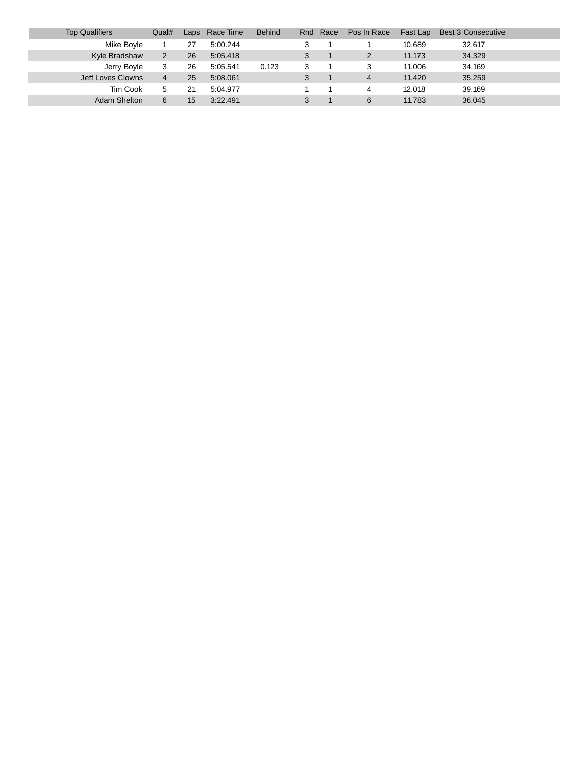| <b>Top Qualifiers</b> | Qual# | $L$ aps          | Race Time | <b>Behind</b> | Rnd | Race | Pos In Race | Fast Lap | <b>Best 3 Consecutive</b> |
|-----------------------|-------|------------------|-----------|---------------|-----|------|-------------|----------|---------------------------|
| Mike Boyle            |       | 27               | 5:00.244  |               |     |      |             | 10.689   | 32.617                    |
| Kyle Bradshaw         |       | 26               | 5:05.418  |               |     |      |             | 11.173   | 34.329                    |
| Jerry Boyle           | 3     | 26               | 5:05.541  | 0.123         |     |      |             | 11.006   | 34.169                    |
| Jeff Loves Clowns     | 4     | 25               | 5:08.061  |               |     |      | 4           | 11.420   | 35.259                    |
| Tim Cook              |       | 21               | 5:04.977  |               |     |      |             | 12.018   | 39.169                    |
| Adam Shelton          | 6     | 15 <sup>15</sup> | 3.22.491  |               |     |      | 6           | 11.783   | 36.045                    |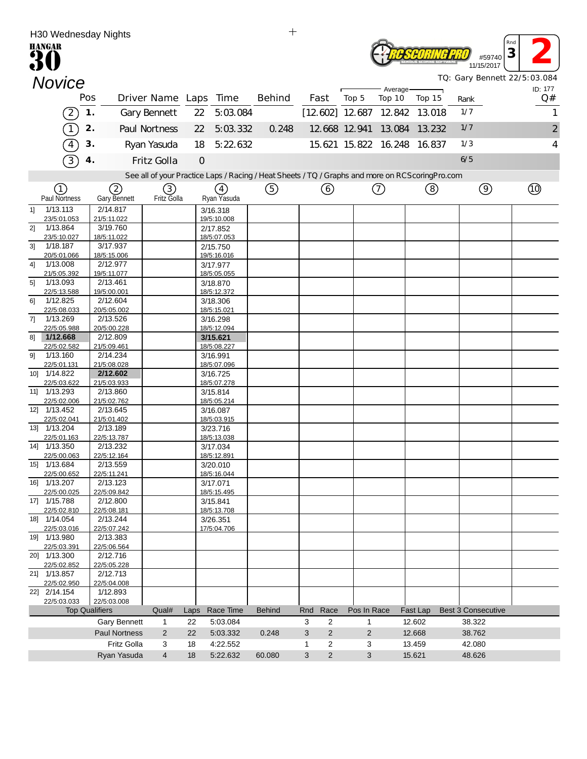| $+$<br>H30 Wednesday Nights |                             |     |                         |                       |               |                         |                                                                                                   |                                  |                |                             |          |                              |                |
|-----------------------------|-----------------------------|-----|-------------------------|-----------------------|---------------|-------------------------|---------------------------------------------------------------------------------------------------|----------------------------------|----------------|-----------------------------|----------|------------------------------|----------------|
|                             | <b>HANGAR</b>               |     |                         |                       |               |                         |                                                                                                   |                                  |                |                             |          |                              | Rnd            |
|                             |                             |     |                         |                       |               |                         |                                                                                                   |                                  |                |                             |          | #59740                       | 3              |
|                             |                             |     |                         |                       |               |                         |                                                                                                   |                                  |                |                             |          | 11/15/2017                   |                |
|                             | <b>Novice</b>               |     |                         |                       |               |                         |                                                                                                   |                                  |                |                             |          | TQ: Gary Bennett 22/5:03.084 |                |
|                             |                             |     |                         |                       |               |                         |                                                                                                   |                                  |                | Average-                    |          |                              | ID: 177        |
|                             |                             | Pos |                         | Driver Name Laps Time |               |                         | Behind                                                                                            | Fast                             | Top 5          | Top 10                      | Top 15   | Rank                         | Q#             |
|                             | $\boxed{2}$                 | 1.  |                         | <b>Gary Bennett</b>   | 22            | 5:03.084                |                                                                                                   | $[12, 602]$ 12.687 12.842 13.018 |                |                             |          | 1/7                          | 1              |
|                             | $\sqrt{1}$                  | 2.  |                         | Paul Nortness         | 22            | 5:03.332                | 0.248                                                                                             |                                  | 12.668 12.941  | 13.084                      | 13.232   | 1/7                          | $\overline{2}$ |
|                             |                             |     |                         |                       |               |                         |                                                                                                   |                                  |                |                             |          |                              |                |
|                             | $\overline{4}$              | 3.  |                         | Ryan Yasuda           | 18            | 5:22.632                |                                                                                                   |                                  |                | 15.621 15.822 16.248 16.837 |          | 1/3                          | 4              |
|                             | 3                           |     | 4.                      | Fritz Golla           | $\mathcal{O}$ |                         |                                                                                                   |                                  |                |                             |          | 6/5                          |                |
|                             |                             |     |                         |                       |               |                         | See all of your Practice Laps / Racing / Heat Sheets / TQ / Graphs and more on RCS coring Pro.com |                                  |                |                             |          |                              |                |
|                             | $\left(1\right)$            |     | 2                       | (3)                   |               | (4)                     | (5)                                                                                               | 6                                |                | $\circled7$                 | (8)      | $\circledcirc$               | $\circled{10}$ |
|                             | Paul Nortness               |     | <b>Gary Bennett</b>     | Fritz Golla           |               | Ryan Yasuda             |                                                                                                   |                                  |                |                             |          |                              |                |
| 1]                          | 1/13.113                    |     | 2/14.817                |                       |               | 3/16.318                |                                                                                                   |                                  |                |                             |          |                              |                |
|                             | 23/5:01.053                 |     | 21/5:11.022             |                       |               | 19/5:10.008             |                                                                                                   |                                  |                |                             |          |                              |                |
| 2]                          | 1/13.864                    |     | 3/19.760                |                       |               | 2/17.852                |                                                                                                   |                                  |                |                             |          |                              |                |
| 3 <sup>1</sup>              | 23/5:10.027<br>1/18.187     |     | 18/5:11.022<br>3/17.937 |                       |               | 18/5:07.053<br>2/15.750 |                                                                                                   |                                  |                |                             |          |                              |                |
|                             | 20/5:01.066                 |     | 18/5:15.006             |                       |               | 19/5:16.016             |                                                                                                   |                                  |                |                             |          |                              |                |
| 41                          | 1/13.008                    |     | 2/12.977                |                       |               | 3/17.977                |                                                                                                   |                                  |                |                             |          |                              |                |
|                             | 21/5:05.392                 |     | 19/5:11.077             |                       |               | 18/5:05.055             |                                                                                                   |                                  |                |                             |          |                              |                |
| 5 <sup>1</sup>              | 1/13.093<br>22/5:13.588     |     | 2/13.461<br>19/5:00.001 |                       |               | 3/18.870<br>18/5:12.372 |                                                                                                   |                                  |                |                             |          |                              |                |
| 61                          | 1/12.825                    |     | 2/12.604                |                       |               | 3/18.306                |                                                                                                   |                                  |                |                             |          |                              |                |
|                             | 22/5:08.033                 |     | 20/5:05.002             |                       |               | 18/5:15.021             |                                                                                                   |                                  |                |                             |          |                              |                |
| 7]                          | 1/13.269<br>22/5:05.988     |     | 2/13.526<br>20/5:00.228 |                       |               | 3/16.298<br>18/5:12.094 |                                                                                                   |                                  |                |                             |          |                              |                |
| 81                          | 1/12.668                    |     | 2/12.809                |                       |               | 3/15.621                |                                                                                                   |                                  |                |                             |          |                              |                |
|                             | 22/5:02.582                 |     | 21/5:09.461             |                       |               | 18/5:08.227             |                                                                                                   |                                  |                |                             |          |                              |                |
| 91                          | 1/13.160                    |     | 2/14.234                |                       |               | 3/16.991                |                                                                                                   |                                  |                |                             |          |                              |                |
|                             | 22/5:01.131<br>10] 1/14.822 |     | 21/5:08.028<br>2/12.602 |                       |               | 18/5:07.096<br>3/16.725 |                                                                                                   |                                  |                |                             |          |                              |                |
|                             | 22/5:03.622                 |     | 21/5:03.933             |                       |               | 18/5:07.278             |                                                                                                   |                                  |                |                             |          |                              |                |
|                             | 11] 1/13.293                |     | 2/13.860                |                       |               | 3/15.814                |                                                                                                   |                                  |                |                             |          |                              |                |
|                             | 22/5:02.006                 |     | 21/5:02.762             |                       |               | 18/5:05.214             |                                                                                                   |                                  |                |                             |          |                              |                |
|                             | 12] 1/13.452<br>22/5:02.041 |     | 2/13.645<br>21/5:01.402 |                       |               | 3/16.087<br>18/5:03.915 |                                                                                                   |                                  |                |                             |          |                              |                |
|                             | 13] 1/13.204                |     | 2/13.189                |                       |               | 3/23.716                |                                                                                                   |                                  |                |                             |          |                              |                |
|                             | 22/5:01.163                 |     | 22/5:13.787             |                       |               | 18/5:13.038             |                                                                                                   |                                  |                |                             |          |                              |                |
|                             | 14] 1/13.350<br>22/5:00.063 |     | 2/13.232<br>22/5:12.164 |                       |               | 3/17.034<br>18/5:12.891 |                                                                                                   |                                  |                |                             |          |                              |                |
|                             | 15] 1/13.684                |     | 2/13.559                |                       |               | 3/20.010                |                                                                                                   |                                  |                |                             |          |                              |                |
|                             | 22/5:00.652                 |     | 22/5:11.241             |                       |               | 18/5:16.044             |                                                                                                   |                                  |                |                             |          |                              |                |
|                             | 16] 1/13.207                |     | 2/13.123                |                       |               | 3/17.071                |                                                                                                   |                                  |                |                             |          |                              |                |
|                             | 22/5:00.025<br>17] 1/15.788 |     | 22/5:09.842<br>2/12.800 |                       |               | 18/5:15.495<br>3/15.841 |                                                                                                   |                                  |                |                             |          |                              |                |
|                             | 22/5:02.810                 |     | 22/5:08.181             |                       |               | 18/5:13.708             |                                                                                                   |                                  |                |                             |          |                              |                |
|                             | 18] 1/14.054                |     | 2/13.244                |                       |               | 3/26.351                |                                                                                                   |                                  |                |                             |          |                              |                |
|                             | 22/5:03.016                 |     | 22/5:07.242             |                       |               | 17/5:04.706             |                                                                                                   |                                  |                |                             |          |                              |                |
|                             | 19] 1/13.980<br>22/5:03.391 |     | 2/13.383<br>22/5:06.564 |                       |               |                         |                                                                                                   |                                  |                |                             |          |                              |                |
|                             | 20] 1/13.300                |     | 2/12.716                |                       |               |                         |                                                                                                   |                                  |                |                             |          |                              |                |
|                             | 22/5:02.852                 |     | 22/5:05.228             |                       |               |                         |                                                                                                   |                                  |                |                             |          |                              |                |
|                             | 21] 1/13.857<br>22/5:02.950 |     | 2/12.713<br>22/5:04.008 |                       |               |                         |                                                                                                   |                                  |                |                             |          |                              |                |
|                             | 22] 2/14.154                |     | 1/12.893                |                       |               |                         |                                                                                                   |                                  |                |                             |          |                              |                |
|                             | 22/5:03.033                 |     | 22/5:03.008             |                       |               |                         |                                                                                                   |                                  |                |                             |          |                              |                |
|                             |                             |     | <b>Top Qualifiers</b>   | Qual#                 | Laps          | Race Time               | <b>Behind</b>                                                                                     | Race<br>Rnd                      | Pos In Race    |                             | Fast Lap | <b>Best 3 Consecutive</b>    |                |
|                             |                             |     | <b>Gary Bennett</b>     | 1                     | 22            | 5:03.084                |                                                                                                   | $\overline{c}$<br>3              | 1              |                             | 12.602   | 38.322                       |                |
|                             |                             |     | <b>Paul Nortness</b>    | 2                     | 22            | 5:03.332                | 0.248                                                                                             | $\overline{2}$<br>3              | $\overline{c}$ |                             | 12.668   | 38.762                       |                |
|                             |                             |     | <b>Fritz Golla</b>      | 3                     | 18            | 4:22.552                |                                                                                                   | $\mathbf{1}$<br>$\overline{c}$   | 3              |                             | 13.459   | 42.080                       |                |
|                             |                             |     | Ryan Yasuda             | $\overline{4}$        | 18            | 5:22.632                | 60.080                                                                                            | 3<br>$\overline{2}$              | 3              |                             | 15.621   | 48.626                       |                |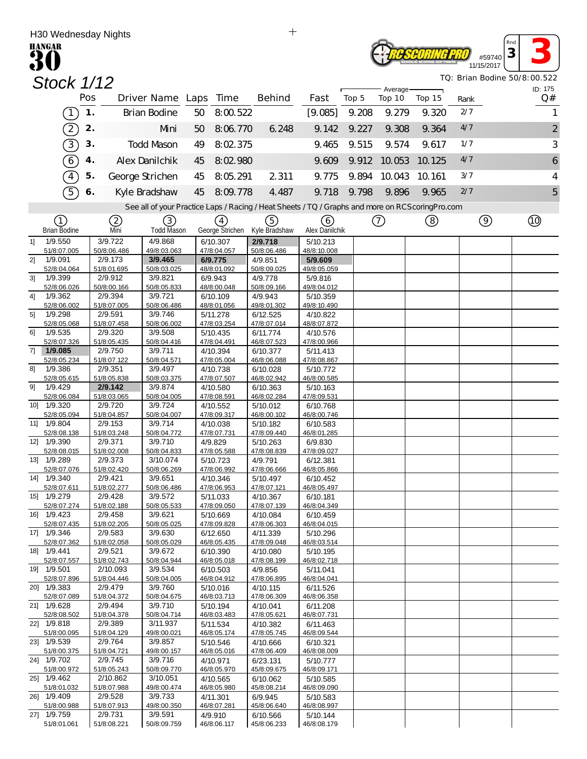|     | H30 Wednesday Nights           |     |                         |                              |    |                             | $\pm$                                                                                             |                            |       |                    |        |             |                      |                              |
|-----|--------------------------------|-----|-------------------------|------------------------------|----|-----------------------------|---------------------------------------------------------------------------------------------------|----------------------------|-------|--------------------|--------|-------------|----------------------|------------------------------|
|     | <b>HANGAR</b>                  |     |                         |                              |    |                             |                                                                                                   |                            |       |                    |        |             | #59740<br>11/15/2017 | Rnd<br>3                     |
|     | Stock 1/12                     |     |                         |                              |    |                             |                                                                                                   |                            |       |                    |        |             |                      | TQ: Brian Bodine 50/8:00.522 |
|     |                                | Pos |                         | Driver Name Laps Time        |    |                             | Behind                                                                                            | Fast                       | Top 5 | Average-<br>Top 10 | Top 15 |             |                      | ID: 175<br>Q#                |
|     | $\overline{1}$                 | 1.  |                         | <b>Brian Bodine</b>          | 50 | 8:00.522                    |                                                                                                   | [9.085]                    | 9.208 | 9.279              | 9.320  | Rank<br>2/7 |                      | 1                            |
|     |                                |     |                         |                              |    |                             |                                                                                                   |                            |       |                    |        | 4/7         |                      |                              |
|     | $\boxed{2}$                    | 2.  |                         | Mni                          | 50 | 8:06.770                    | 6.248                                                                                             | 9.142                      | 9.227 | 9.308              | 9.364  |             |                      | $\overline{c}$               |
|     | $\overline{3}$                 | 3.  |                         | <b>Todd Mason</b>            | 49 | 8:02.375                    |                                                                                                   | 9.465                      | 9.515 | 9.574              | 9.617  | 1/7         |                      | 3                            |
|     | $\widehat{6}$                  | 4.  |                         | Alex Danilchik               | 45 | 8:02.980                    |                                                                                                   | 9.609                      | 9.912 | 10.053             | 10.125 | 4/7         |                      | 6                            |
|     | $\boxed{4}$                    | 5.  |                         | George Strichen              | 45 | 8:05.291                    | 2 3 1 1                                                                                           | 9.775                      | 9.894 | 10.043             | 10.161 | 3/7         |                      | $\overline{4}$               |
|     | $\overline{5}$                 | 6.  |                         | Kyle Bradshaw                | 45 | 8:09.778                    | 4.487                                                                                             | 9.718                      | 9.798 | 9.896              | 9.965  | 2/7         |                      | 5                            |
|     |                                |     |                         |                              |    |                             | See all of your Practice Laps / Racing / Heat Sheets / TQ / Graphs and more on RCS coring Pro.com |                            |       |                    |        |             |                      |                              |
|     | (1)                            |     | ②                       | (3)                          |    | $\left( 4\right)$           | 5                                                                                                 | (6)                        |       | (7)                | (8)    |             | $\circledcirc$       | Q)                           |
| 11  | <b>Brian Bodine</b><br>1/9.550 |     | Mni<br>3/9.722          | <b>Todd Mason</b><br>4/9.868 |    | George Strichen<br>6/10.307 | Kyle Bradshaw<br>2/9.718                                                                          | Alex Danilchik<br>5/10.213 |       |                    |        |             |                      |                              |
|     | 51/8:07.005                    |     | 50/8:06.486             | 49/8:03.063                  |    | 47/8:04.057                 | 50/8:06.486                                                                                       | 48/8:10.008                |       |                    |        |             |                      |                              |
| 21  | 1/9.091<br>52/8:04.064         |     | 2/9.173<br>51/8:01.695  | 3/9.465<br>50/8:03.025       |    | 6/9.775<br>48/8:01.092      | 4/9.851<br>50/8:09.025                                                                            | 5/9.609<br>49/8:05.059     |       |                    |        |             |                      |                              |
| 3]  | 1/9.399                        |     | 2/9.912                 | 3/9.821                      |    | 6/9.943                     | 4/9.778                                                                                           | 5/9.816                    |       |                    |        |             |                      |                              |
| 41  | 52/8:06.026<br>1/9.362         |     | 50/8:00.166<br>2/9.394  | 50/8:05.833<br>3/9.721       |    | 48/8:00.048<br>6/10.109     | 50/8:09.166<br>4/9.943                                                                            | 49/8:04.012<br>5/10.359    |       |                    |        |             |                      |                              |
|     | 52/8:06.002                    |     | 51/8:07.005             | 50/8:06.486                  |    | 48/8:01.056                 | 49/8:01.302                                                                                       | 49/8:10.490                |       |                    |        |             |                      |                              |
| 51  | 1/9.298<br>52/8:05.068         |     | 2/9.591<br>51/8:07.458  | 3/9.746<br>50/8:06.002       |    | 5/11.278<br>47/8:03.254     | 6/12.525<br>47/8:07.014                                                                           | 4/10.822<br>48/8:07.872    |       |                    |        |             |                      |                              |
| 61  | 1/9.535<br>52/8:07.326         |     | 2/9.320<br>51/8:05.435  | 3/9.508<br>50/8:04.416       |    | 5/10.435<br>47/8:04.491     | 6/11.774<br>46/8:07.523                                                                           | 4/10.576<br>47/8:00.966    |       |                    |        |             |                      |                              |
| 71  | 1/9.085                        |     | 2/9.750                 | 3/9.711                      |    | 4/10.394                    | 6/10.377                                                                                          | 5/11.413                   |       |                    |        |             |                      |                              |
| 81  | 52/8:05.234<br>1/9.386         |     | 51/8:07.122<br>2/9.351  | 50/8:04.571<br>3/9.497       |    | 47/8:05.004<br>4/10.738     | 46/8:06.088<br>6/10.028                                                                           | 47/8:08.867<br>5/10.772    |       |                    |        |             |                      |                              |
|     | 52/8:05.615                    |     | 51/8:05.838             | 50/8:03.375                  |    | 47/8:07.507                 | 46/8:02.942                                                                                       | 46/8:00.585                |       |                    |        |             |                      |                              |
| 91  | 1/9.429<br>52/8:06.084         |     | 2/9.142<br>51/8:03.065  | 3/9.874<br>50/8:04.005       |    | 4/10.580<br>47/8:08.591     | 6/10.363<br>46/8:02.284                                                                           | 5/10.163<br>47/8:09.531    |       |                    |        |             |                      |                              |
| 10] | 1/9.320                        |     | 2/9.720                 | 3/9.724                      |    | 4/10.552                    | 5/10.012                                                                                          | 6/10.768                   |       |                    |        |             |                      |                              |
| 11] | 52/8:05.094<br>1/9.804         |     | 51/8:04.857<br>2/9.153  | 50/8:04.007<br>3/9.714       |    | 47/8:09.317<br>4/10.038     | 46/8:00.102<br>5/10.182                                                                           | 46/8:00.746<br>6/10.583    |       |                    |        |             |                      |                              |
|     | 52/8:08.138                    |     | 51/8:03.248             | 50/8:04.772                  |    | 47/8:07.731                 | 47/8:09.440                                                                                       | 46/8:01.285                |       |                    |        |             |                      |                              |
| 12] | 1/9.390<br>52/8:08.015         |     | 2/9.371<br>51/8:02.008  | 3/9.710<br>50/8:04.833       |    | 4/9.829<br>47/8:05.588      | 5/10.263<br>47/8:08.839                                                                           | 6/9.830<br>47/8:09.027     |       |                    |        |             |                      |                              |
|     | 13] 1/9.289<br>52/8:07.076     |     | 2/9.373<br>51/8:02.420  | 3/10.074<br>50/8:06.269      |    | 5/10.723<br>47/8:06.992     | 4/9.791<br>47/8:06.666                                                                            | 6/12.381<br>46/8:05.866    |       |                    |        |             |                      |                              |
|     | 14] 1/9.340                    |     | 2/9.421                 | 3/9.651                      |    | 4/10.346                    | 5/10.497                                                                                          | 6/10.452                   |       |                    |        |             |                      |                              |
|     | 52/8:07.611<br>15] 1/9.279     |     | 51/8:02.277<br>2/9.428  | 50/8:06.486<br>3/9.572       |    | 47/8:06.953<br>5/11.033     | 47/8:07.121<br>4/10.367                                                                           | 46/8:05.497<br>6/10.181    |       |                    |        |             |                      |                              |
|     | 52/8:07.274                    |     | 51/8:02.188             | 50/8:05.533                  |    | 47/8:09.050                 | 47/8:07.139                                                                                       | 46/8:04.349                |       |                    |        |             |                      |                              |
|     | 16] 1/9.423<br>52/8:07.435     |     | 2/9.458<br>51/8:02.205  | 3/9.621<br>50/8:05.025       |    | 5/10.669<br>47/8:09.828     | 4/10.084<br>47/8:06.303                                                                           | 6/10.459<br>46/8:04.015    |       |                    |        |             |                      |                              |
|     | 17] 1/9.346                    |     | 2/9.583                 | 3/9.630                      |    | 6/12.650                    | 4/11.339                                                                                          | 5/10.296                   |       |                    |        |             |                      |                              |
|     | 52/8:07.362<br>18] 1/9.441     |     | 51/8:02.058<br>2/9.521  | 50/8:05.029<br>3/9.672       |    | 46/8:05.435<br>6/10.390     | 47/8:09.048<br>4/10.080                                                                           | 46/8:03.514<br>5/10.195    |       |                    |        |             |                      |                              |
|     | 52/8:07.557<br>191 1/9.501     |     | 51/8:02.743<br>2/10.093 | 50/8:04.944<br>3/9.534       |    | 46/8:05.018<br>6/10.503     | 47/8:08.199                                                                                       | 46/8:02.718                |       |                    |        |             |                      |                              |
|     | 52/8:07.896                    |     | 51/8:04.446             | 50/8:04.005                  |    | 46/8:04.912                 | 4/9.856<br>47/8:06.895                                                                            | 5/11.041<br>46/8:04.041    |       |                    |        |             |                      |                              |
|     | 20] 1/9.383<br>52/8:07.089     |     | 2/9.479<br>51/8:04.372  | 3/9.760<br>50/8:04.675       |    | 5/10.016<br>46/8:03.713     | 4/10.115<br>47/8:06.309                                                                           | 6/11.526<br>46/8:06.358    |       |                    |        |             |                      |                              |
|     | 21] 1/9.628                    |     | 2/9.494                 | 3/9.710                      |    | 5/10.194                    | 4/10.041                                                                                          | 6/11.208                   |       |                    |        |             |                      |                              |
|     | 52/8:08.502<br>22] 1/9.818     |     | 51/8:04.378<br>2/9.389  | 50/8:04.714<br>3/11.937      |    | 46/8:03.483<br>5/11.534     | 47/8:05.621<br>4/10.382                                                                           | 46/8:07.731<br>6/11.463    |       |                    |        |             |                      |                              |
|     | 51/8:00.095                    |     | 51/8:04.129             | 49/8:00.021                  |    | 46/8:05.174                 | 47/8:05.745                                                                                       | 46/8:09.544                |       |                    |        |             |                      |                              |
|     | 23] 1/9.539<br>51/8:00.375     |     | 2/9.764<br>51/8:04.721  | 3/9.857<br>49/8:00.157       |    | 5/10.546<br>46/8:05.016     | 4/10.666<br>47/8:06.409                                                                           | 6/10.321<br>46/8:08.009    |       |                    |        |             |                      |                              |
|     | 24] 1/9.702                    |     | 2/9.745                 | 3/9.716                      |    | 4/10.971                    | 6/23.131                                                                                          | 5/10.777                   |       |                    |        |             |                      |                              |
|     | 51/8:00.972<br>25] 1/9.462     |     | 51/8:05.243<br>2/10.862 | 50/8:09.770<br>3/10.051      |    | 46/8:05.970<br>4/10.565     | 45/8:09.675<br>6/10.062                                                                           | 46/8:09.171<br>5/10.585    |       |                    |        |             |                      |                              |
|     | 51/8:01.032<br>26] 1/9.409     |     | 51/8:07.988<br>2/9.528  | 49/8:00.474<br>3/9.733       |    | 46/8:05.980<br>4/11.301     | 45/8:08.214<br>6/9.945                                                                            | 46/8:09.090<br>5/10.583    |       |                    |        |             |                      |                              |
|     | 51/8:00.988                    |     | 51/8:07.913             | 49/8:00.350                  |    | 46/8:07.281                 | 45/8:06.640                                                                                       | 46/8:08.997                |       |                    |        |             |                      |                              |
|     | 27] 1/9.759<br>51/8:01.061     |     | 2/9.731<br>51/8:08.221  | 3/9.591<br>50/8:09.759       |    | 4/9.910<br>46/8:06.117      | 6/10.566<br>45/8:06.233                                                                           | 5/10.144<br>46/8:08.179    |       |                    |        |             |                      |                              |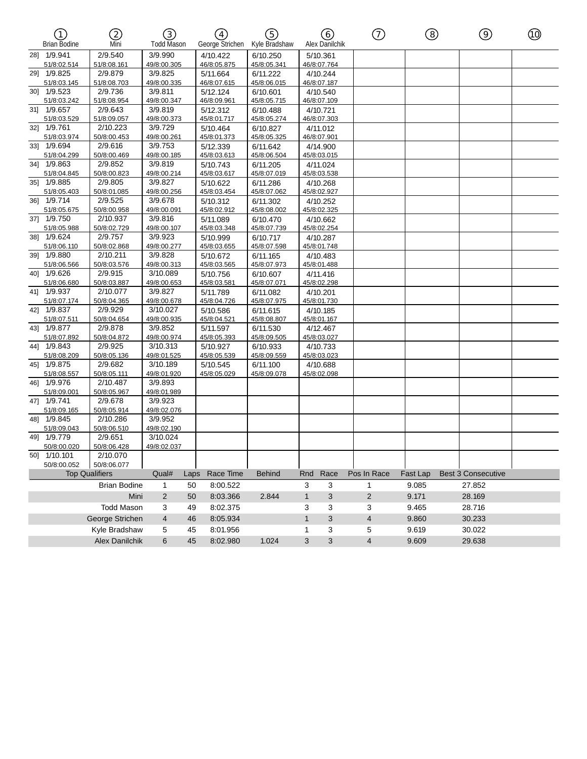| ∩<br><b>Brian Bodine</b>   | ②<br>Mni               | ③<br><b>Todd Mason</b>  |      | $\left( \overline{4}\right)$<br>George Strichen | (5)<br>Kyle Bradshaw    |              | 6)<br>Alex Danilchik    | $^\copyright$  | ⑧        | $\circledcirc$            | ⑩ |
|----------------------------|------------------------|-------------------------|------|-------------------------------------------------|-------------------------|--------------|-------------------------|----------------|----------|---------------------------|---|
| 28] 1/9.941                | 2/9.540                | 3/9.990                 |      | 4/10.422                                        | 6/10.250                |              | 5/10.361                |                |          |                           |   |
| 51/8:02.514                | 51/8:08.161            | 49/8:00.305             |      | 46/8:05.875                                     | 45/8:05.341             |              | 46/8:07.764             |                |          |                           |   |
| 29] 1/9.825                | 2/9.879                | 3/9.825                 |      | 5/11.664                                        | 6/11.222                |              | 4/10.244                |                |          |                           |   |
| 51/8:03.145                | 51/8:08.703            | 49/8:00.335             |      | 46/8:07.615                                     | 45/8:06.015             |              | 46/8:07.187             |                |          |                           |   |
| 30] 1/9.523                | 2/9.736                | 3/9.811                 |      | 5/12.124                                        | 6/10.601                |              | 4/10.540                |                |          |                           |   |
| 51/8:03.242<br>31] 1/9.657 | 51/8:08.954<br>2/9.643 | 49/8:00.347<br>3/9.819  |      | 46/8:09.961                                     | 45/8:05.715             |              | 46/8:07.109             |                |          |                           |   |
| 51/8:03.529                | 51/8:09.057            | 49/8:00.373             |      | 5/12.312<br>45/8:01.717                         | 6/10.488<br>45/8:05.274 |              | 4/10.721<br>46/8:07.303 |                |          |                           |   |
| 32] 1/9.761                | 2/10.223               | 3/9.729                 |      | 5/10.464                                        | 6/10.827                |              | 4/11.012                |                |          |                           |   |
| 51/8:03.974                | 50/8:00.453            | 49/8:00.261             |      | 45/8:01.373                                     | 45/8:05.325             |              | 46/8:07.901             |                |          |                           |   |
| 331 1/9.694                | 2/9.616                | 3/9.753                 |      | 5/12.339                                        | 6/11.642                |              | 4/14.900                |                |          |                           |   |
| 51/8:04.299                | 50/8:00.469            | 49/8:00.185             |      | 45/8:03.613                                     | 45/8:06.504             |              | 45/8:03.015             |                |          |                           |   |
| 34] 1/9.863                | 2/9.852                | 3/9.819                 |      | 5/10.743                                        | 6/11.205                |              | 4/11.024                |                |          |                           |   |
| 51/8:04.845                | 50/8:00.823            | 49/8:00.214             |      | 45/8:03.617                                     | 45/8:07.019             |              | 45/8:03.538             |                |          |                           |   |
| 35] 1/9.885                | 2/9.805                | 3/9.827                 |      | 5/10.622                                        | 6/11.286                |              | 4/10.268                |                |          |                           |   |
| 51/8:05.403                | 50/8:01.085            | 49/8:00.256             |      | 45/8:03.454                                     | 45/8:07.062             |              | 45/8:02.927             |                |          |                           |   |
| 36] 1/9.714                | 2/9.525                | 3/9.678                 |      | 5/10.312                                        | 6/11.302                |              | 4/10.252                |                |          |                           |   |
| 51/8:05.675                | 50/8:00.958            | 49/8:00.091             |      | 45/8:02.912                                     | 45/8:08.002             |              | 45/8:02.325             |                |          |                           |   |
| 37] 1/9.750                | 2/10.937               | 3/9.816                 |      | 5/11.089                                        | 6/10.470                |              | 4/10.662                |                |          |                           |   |
| 51/8:05.988                | 50/8:02.729            | 49/8:00.107             |      | 45/8:03.348                                     | 45/8:07.739             |              | 45/8:02.254             |                |          |                           |   |
| 38] 1/9.624                | 2/9.757                | 3/9.923                 |      | 5/10.999                                        | 6/10.717                |              | 4/10.287                |                |          |                           |   |
| 51/8:06.110                | 50/8:02.868            | 49/8:00.277             |      | 45/8:03.655                                     | 45/8:07.598             |              | 45/8:01.748             |                |          |                           |   |
| 39] 1/9.880                | 2/10.211               | 3/9.828                 |      | 5/10.672                                        | 6/11.165                |              | 4/10.483                |                |          |                           |   |
| 51/8:06.566<br>40] 1/9.626 | 50/8:03.576<br>2/9.915 | 49/8:00.313<br>3/10.089 |      | 45/8:03.565                                     | 45/8:07.973             |              | 45/8:01.488             |                |          |                           |   |
| 51/8:06.680                | 50/8:03.887            | 49/8:00.653             |      | 5/10.756<br>45/8:03.581                         | 6/10.607<br>45/8:07.071 |              | 4/11.416<br>45/8:02.298 |                |          |                           |   |
| 41] 1/9.937                | 2/10.077               | 3/9.827                 |      | 5/11.789                                        | 6/11.082                |              | 4/10.201                |                |          |                           |   |
| 51/8:07.174                | 50/8:04.365            | 49/8:00.678             |      | 45/8:04.726                                     | 45/8:07.975             |              | 45/8:01.730             |                |          |                           |   |
| 42] 1/9.837                | 2/9.929                | 3/10.027                |      | 5/10.586                                        | 6/11.615                |              | 4/10.185                |                |          |                           |   |
| 51/8:07.511                | 50/8:04.654            | 49/8:00.935             |      | 45/8:04.521                                     | 45/8:08.807             |              | 45/8:01.167             |                |          |                           |   |
| 43] 1/9.877                | 2/9.878                | 3/9.852                 |      | 5/11.597                                        | 6/11.530                |              | 4/12.467                |                |          |                           |   |
| 51/8:07.892                | 50/8:04.872            | 49/8:00.974             |      | 45/8:05.393                                     | 45/8:09.505             |              | 45/8:03.027             |                |          |                           |   |
| 44] 1/9.843                | 2/9.925                | 3/10.313                |      | 5/10.927                                        | 6/10.933                |              | 4/10.733                |                |          |                           |   |
| 51/8:08.209                | 50/8:05.136            | 49/8:01.525             |      | 45/8:05.539                                     | 45/8:09.559             |              | 45/8:03.023             |                |          |                           |   |
| 45] 1/9.875                | 2/9.682                | 3/10.189                |      | 5/10.545                                        | 6/11.100                |              | 4/10.688                |                |          |                           |   |
| 51/8:08.557                | 50/8:05.111            | 49/8:01.920             |      | 45/8:05.029                                     | 45/8:09.078             |              | 45/8:02.098             |                |          |                           |   |
| 46] 1/9.976                | 2/10.487               | 3/9.893                 |      |                                                 |                         |              |                         |                |          |                           |   |
| 51/8:09.001                | 50/8:05.967            | 49/8:01.989             |      |                                                 |                         |              |                         |                |          |                           |   |
| 47] 1/9.741                | 2/9.678                | 3/9.923                 |      |                                                 |                         |              |                         |                |          |                           |   |
| 51/8:09.165                | 50/8:05.914            | 49/8:02.076             |      |                                                 |                         |              |                         |                |          |                           |   |
| 48] 1/9.845                | 2/10.286               | 3/9.952                 |      |                                                 |                         |              |                         |                |          |                           |   |
| 51/8:09.043<br>49] 1/9.779 | 50/8:06.510<br>2/9.651 | 49/8:02.190<br>3/10.024 |      |                                                 |                         |              |                         |                |          |                           |   |
| 50/8:00.020                | 50/8:06.428            | 49/8:02.037             |      |                                                 |                         |              |                         |                |          |                           |   |
| 50] 1/10.101               | 2/10.070               |                         |      |                                                 |                         |              |                         |                |          |                           |   |
| 50/8:00.052                | 50/8:06.077            |                         |      |                                                 |                         |              |                         |                |          |                           |   |
|                            | <b>Top Qualifiers</b>  | Qual#                   | Laps | Race Time                                       | <b>Behind</b>           | Rnd          | Race                    | Pos In Race    | Fast Lap | <b>Best 3 Consecutive</b> |   |
|                            | <b>Brian Bodine</b>    | $\mathbf{1}$            | 50   | 8:00.522                                        |                         | 3            | 3                       | $\mathbf{1}$   | 9.085    | 27.852                    |   |
|                            | Mini                   | $\overline{2}$          | 50   | 8:03.366                                        | 2.844                   | $\mathbf{1}$ | 3                       | $\overline{2}$ | 9.171    | 28.169                    |   |
|                            | <b>Todd Mason</b>      | 3                       | 49   | 8:02.375                                        |                         | 3            | 3                       | 3              | 9.465    | 28.716                    |   |
|                            |                        |                         |      |                                                 |                         |              |                         |                |          |                           |   |
|                            | George Strichen        | 4                       | 46   | 8:05.934                                        |                         | $\mathbf{1}$ | 3                       | $\overline{4}$ | 9.860    | 30.233                    |   |
|                            | Kyle Bradshaw          | 5                       | 45   | 8:01.956                                        |                         | 1            | 3                       | 5              | 9.619    | 30.022                    |   |
|                            | Alex Danilchik         | 6                       | 45   | 8:02.980                                        | 1.024                   | 3            | 3                       | $\overline{4}$ | 9.609    | 29.638                    |   |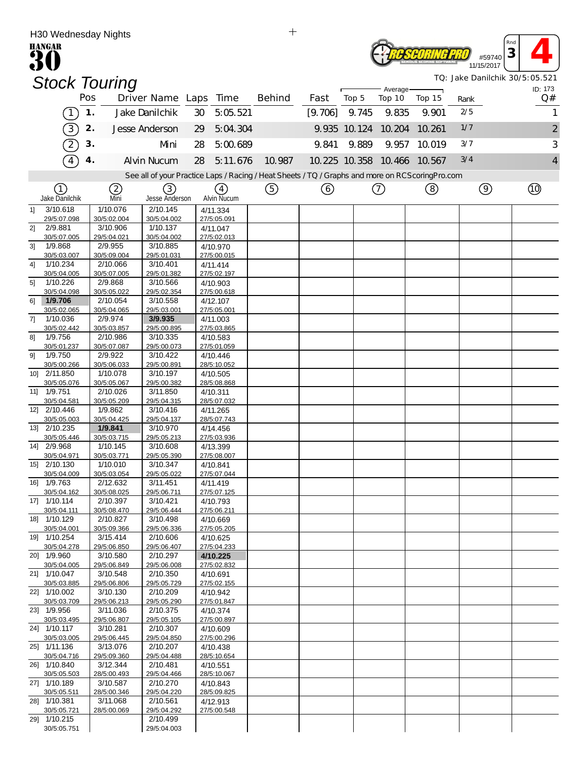|                | H30 Wednesday Nights        |     |                         |                         |    |                         | $\mathrm{+}$                                                                                    |         |              |                             |        |      |               |                                |
|----------------|-----------------------------|-----|-------------------------|-------------------------|----|-------------------------|-------------------------------------------------------------------------------------------------|---------|--------------|-----------------------------|--------|------|---------------|--------------------------------|
|                | <b>HANGAR</b>               |     |                         |                         |    |                         |                                                                                                 |         |              |                             |        |      | #59740        | Rna<br>3                       |
|                |                             |     |                         |                         |    |                         |                                                                                                 |         |              |                             |        |      | 11/15/2017    | TQ: Jake Danilchik 30/5:05.521 |
|                | <b>Stock Touring</b>        |     |                         |                         |    |                         |                                                                                                 |         |              | Average-                    |        |      |               | ID: 173                        |
|                |                             | Pos |                         | Driver Name Laps Time   |    |                         | <b>Behind</b>                                                                                   | Fast    | Top 5        | Top 10                      | Top 15 | Rank |               | Q#                             |
|                | $\boxed{1}$                 | 1.  |                         | Jake Danilchik          | 30 | 5:05.521                |                                                                                                 | [9.706] | 9.745        | 9.835                       | 9.901  | 2/5  |               |                                |
|                | 3)                          | 2.  |                         | Jesse Anderson          | 29 | 5:04.304                |                                                                                                 |         | 9.935 10.124 | 10.204                      | 10.261 | 1/7  |               | $\overline{\mathbf{c}}$        |
|                | $\left( 2\right)$           | 3.  |                         | Mni                     | 28 | 5:00.689                |                                                                                                 | 9.841   | 9.889        | 9.957                       | 10.019 | 3/7  |               | 3                              |
|                | $\widehat{4}$               | 4.  |                         | <b>Alvin Nucum</b>      | 28 | 5:11.676                | 10.987                                                                                          |         |              | 10.225 10.358 10.466 10.567 |        | 3/4  |               | 4                              |
|                |                             |     |                         |                         |    |                         | See all of your Practice Laps / Racing / Heat Sheets / TQ / Graphs and more on RCScoringPro.com |         |              |                             |        |      |               |                                |
|                | (1)                         |     | (2)                     | (3)                     |    | $\left(4\right)$        | (5)                                                                                             | 6       |              | $\left(  \right)$           | (8)    |      | $\circled{9}$ |                                |
|                | Jake Danilchik              |     | Mni                     | <b>Jesse Anderson</b>   |    | Alvin Nucum             |                                                                                                 |         |              |                             |        |      |               |                                |
| 11             | 3/10.618                    |     | 1/10.076                | 2/10.145<br>30/5:04.002 |    | 4/11.334                |                                                                                                 |         |              |                             |        |      |               |                                |
| 2]             | 29/5:07.098<br>2/9.881      |     | 30/5:02.004<br>3/10.906 | 1/10.137                |    | 27/5:05.091<br>4/11.047 |                                                                                                 |         |              |                             |        |      |               |                                |
|                | 30/5:07.005                 |     | 29/5:04.021             | 30/5:04.002             |    | 27/5:02.013             |                                                                                                 |         |              |                             |        |      |               |                                |
| 31             | 1/9.868<br>30/5:03.007      |     | 2/9.955<br>30/5:09.004  | 3/10.885<br>29/5:01.031 |    | 4/10.970<br>27/5:00.015 |                                                                                                 |         |              |                             |        |      |               |                                |
| 4]             | 1/10.234                    |     | 2/10.066                | 3/10.401                |    | 4/11.414                |                                                                                                 |         |              |                             |        |      |               |                                |
|                | 30/5:04.005                 |     | 30/5:07.005             | 29/5:01.382             |    | 27/5:02.197             |                                                                                                 |         |              |                             |        |      |               |                                |
| 5 <sup>1</sup> | 1/10.226<br>30/5:04.098     |     | 2/9.868<br>30/5:05.022  | 3/10.566<br>29/5:02.354 |    | 4/10.903<br>27/5:00.618 |                                                                                                 |         |              |                             |        |      |               |                                |
| 61             | 1/9.706                     |     | 2/10.054                | 3/10.558                |    | 4/12.107                |                                                                                                 |         |              |                             |        |      |               |                                |
| 71             | 30/5:02.065<br>1/10.036     |     | 30/5:04.065<br>2/9.974  | 29/5:03.001<br>3/9.935  |    | 27/5:05.001<br>4/11.003 |                                                                                                 |         |              |                             |        |      |               |                                |
|                | 30/5:02.442                 |     | 30/5:03.857             | 29/5:00.895             |    | 27/5:03.865             |                                                                                                 |         |              |                             |        |      |               |                                |
| 81             | 1/9.756                     |     | 2/10.986                | 3/10.335                |    | 4/10.583                |                                                                                                 |         |              |                             |        |      |               |                                |
| 9]             | 30/5:01.237<br>1/9.750      |     | 30/5:07.087<br>2/9.922  | 29/5:00.073<br>3/10.422 |    | 27/5:01.059<br>4/10.446 |                                                                                                 |         |              |                             |        |      |               |                                |
|                | 30/5:00.266                 |     | 30/5:06.033             | 29/5:00.891             |    | 28/5:10.052             |                                                                                                 |         |              |                             |        |      |               |                                |
|                | 10] 2/11.850<br>30/5:05.076 |     | 1/10.078<br>30/5:05.067 | 3/10.197<br>29/5:00.382 |    | 4/10.505<br>28/5:08.868 |                                                                                                 |         |              |                             |        |      |               |                                |
| $11$ ]         | 1/9.751                     |     | 2/10.026                | 3/11.850                |    | 4/10.311                |                                                                                                 |         |              |                             |        |      |               |                                |
|                | 30/5:04.581                 |     | 30/5:05.209             | 29/5:04.315             |    | 28/5:07.032             |                                                                                                 |         |              |                             |        |      |               |                                |
|                | 12] 2/10.446<br>30/5:05.003 |     | 1/9.862<br>30/5:04.425  | 3/10.416<br>29/5:04.137 |    | 4/11.265<br>28/5:07.743 |                                                                                                 |         |              |                             |        |      |               |                                |
|                | 13] 2/10.235                |     | 1/9.841                 | 3/10.970                |    | 4/14.456                |                                                                                                 |         |              |                             |        |      |               |                                |
|                | 30/5:05.446<br>14] 2/9.968  |     | 30/5:03.715<br>1/10.145 | 29/5:05.213<br>3/10.608 |    | 27/5:03.936<br>4/13.399 |                                                                                                 |         |              |                             |        |      |               |                                |
|                | 30/5:04.971                 |     | 30/5:03.771             | 29/5:05.390             |    | 27/5:08.007             |                                                                                                 |         |              |                             |        |      |               |                                |
|                | 15] 2/10.130                |     | 1/10.010                | 3/10.347                |    | 4/10.841                |                                                                                                 |         |              |                             |        |      |               |                                |
|                | 30/5:04.009<br>16] 1/9.763  |     | 30/5:03.054<br>2/12.632 | 29/5:05.022<br>3/11.451 |    | 27/5:07.044<br>4/11.419 |                                                                                                 |         |              |                             |        |      |               |                                |
|                | 30/5:04.162                 |     | 30/5:08.025             | 29/5:06.711             |    | 27/5:07.125             |                                                                                                 |         |              |                             |        |      |               |                                |
|                | 17] 1/10.114<br>30/5:04.111 |     | 2/10.397<br>30/5:08.470 | 3/10.421<br>29/5:06.444 |    | 4/10.793<br>27/5:06.211 |                                                                                                 |         |              |                             |        |      |               |                                |
|                | 18] 1/10.129                |     | 2/10.827                | 3/10.498                |    | 4/10.669                |                                                                                                 |         |              |                             |        |      |               |                                |
|                | 30/5:04.001                 |     | 30/5:09.366             | 29/5:06.336             |    | 27/5:05.205             |                                                                                                 |         |              |                             |        |      |               |                                |
|                | 19] 1/10.254<br>30/5:04.278 |     | 3/15.414<br>29/5:06.850 | 2/10.606<br>29/5:06.407 |    | 4/10.625<br>27/5:04.233 |                                                                                                 |         |              |                             |        |      |               |                                |
|                | 20] 1/9.960                 |     | 3/10.580                | 2/10.297                |    | 4/10.225                |                                                                                                 |         |              |                             |        |      |               |                                |
|                | 30/5:04.005<br>21] 1/10.047 |     | 29/5:06.849<br>3/10.548 | 29/5:06.008<br>2/10.350 |    | 27/5:02.832             |                                                                                                 |         |              |                             |        |      |               |                                |
|                | 30/5:03.885                 |     | 29/5:06.806             | 29/5:05.729             |    | 4/10.691<br>27/5:02.155 |                                                                                                 |         |              |                             |        |      |               |                                |
|                | 22] 1/10.002                |     | 3/10.130                | 2/10.209                |    | 4/10.942                |                                                                                                 |         |              |                             |        |      |               |                                |
|                | 30/5:03.709<br>23] 1/9.956  |     | 29/5:06.213<br>3/11.036 | 29/5:05.290<br>2/10.375 |    | 27/5:01.847<br>4/10.374 |                                                                                                 |         |              |                             |        |      |               |                                |
|                | 30/5:03.495                 |     | 29/5:06.807             | 29/5:05.105             |    | 27/5:00.897             |                                                                                                 |         |              |                             |        |      |               |                                |
|                | 24] 1/10.117<br>30/5:03.005 |     | 3/10.281<br>29/5:06.445 | 2/10.307<br>29/5:04.850 |    | 4/10.609<br>27/5:00.296 |                                                                                                 |         |              |                             |        |      |               |                                |
|                | 25] 1/11.136                |     | 3/13.076                | 2/10.207                |    | 4/10.438                |                                                                                                 |         |              |                             |        |      |               |                                |
|                | 30/5:04.716                 |     | 29/5:09.360             | 29/5:04.488             |    | 28/5:10.654             |                                                                                                 |         |              |                             |        |      |               |                                |
|                | 26] 1/10.840<br>30/5:05.503 |     | 3/12.344<br>28/5:00.493 | 2/10.481<br>29/5:04.466 |    | 4/10.551<br>28/5:10.067 |                                                                                                 |         |              |                             |        |      |               |                                |
|                | 27] 1/10.189                |     | 3/10.587                | 2/10.270                |    | 4/10.843                |                                                                                                 |         |              |                             |        |      |               |                                |
|                | 30/5:05.511<br>28] 1/10.381 |     | 28/5:00.346<br>3/11.068 | 29/5:04.220<br>2/10.561 |    | 28/5:09.825<br>4/12.913 |                                                                                                 |         |              |                             |        |      |               |                                |
|                | 30/5:05.721                 |     | 28/5:00.069             | 29/5:04.292             |    | 27/5:00.548             |                                                                                                 |         |              |                             |        |      |               |                                |
|                | 29] 1/10.215                |     |                         | 2/10.499                |    |                         |                                                                                                 |         |              |                             |        |      |               |                                |
|                | 30/5:05.751                 |     |                         | 29/5:04.003             |    |                         |                                                                                                 |         |              |                             |        |      |               |                                |

 $+$